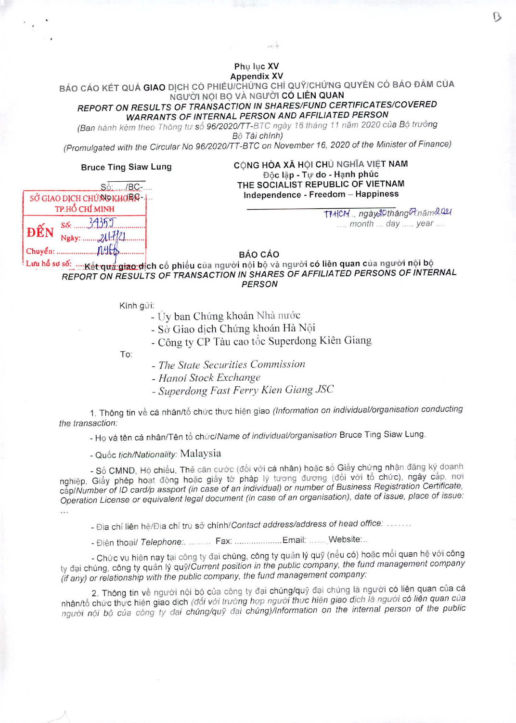Phu lục XV **Appendix XV** 

BÁO CÁO KÉT QUẢ GIAO DỊCH CÓ PHIẾU/CHỨNG CHỈ QUÝ/CHỨNG QUYỀN CÓ BẢO ĐẢM CỦA NGƯỜI NÓI BO VÀ NGƯỜI CÓ LIÊN QUAN REPORT ON RESULTS OF TRANSACTION IN SHARES/FUND CERTIFICATES/COVERED **WARRANTS OF INTERNAL PERSON AND AFFILIATED PERSON** 

(Ban hành kèm theo Thông tư số 96/2020/TT-BTC ngày 16 tháng 11 năm 2020 của Bộ trưởng Bô Tài chính)

(Promulgated with the Circular No 96/2020/TT-BTC on November 16, 2020 of the Minister of Finance)

## **Bruce Ting Siaw Lung**

CÒNG HÒA XÃ HỘI CHỦ NGHĨA VIỆT NAM Độc lập - Tự do - Hạnh phúc THE SOCIALIST REPUBLIC OF VIETNAM Independence - Freedom - Happiness

> TIHCM ... ngày20tháng0tnăm2021 ..., month ... day ..... year ....

 $S_0$ : .... /BC-.... SỞ GIAO DICH CHỨNG KHƠRG-1. TP.HỔ CHÍ MINH  $s6: 3955$ ĐẾN Ngày: 21/7/21  $Chuyén:$   $MHA$ 

## **BÁO CÁO**

Lưu hổ sơ số: .... Kết qua giao dịch cổ phiếu của người nội bộ và người có liên quan của người nội bộ REPORT ON RESULTS OF TRANSACTION IN SHARES OF AFFILIATED PERSONS OF INTERNAL **PERSON** 

Kính gửi:

- Ủy ban Chứng khoán Nhà nước

- Sở Giao dịch Chứng khoán Hà Nôi
- Công ty CP Tàu cao tốc Superdong Kiên Giang

To:

- The State Securities Commission
- Hanoi Stock Exchange
- Superdong Fast Ferry Kien Giang JSC

1. Thông tin về cá nhân/tổ chức thực hiện giao (Information on individual/organisation conducting the transaction:

- Họ và tên cá nhân/Tên tổ chức/Name of individual/organisation Bruce Ting Siaw Lung.

- Quốc tịch/Nationality: Malaysia

- Số CMND, Hộ chiếu, Thẻ căn cước (đối với cá nhân) hoặc số Giấy chứng nhận đăng ký doanh nghiệp, Giấy phép hoạt động hoặc giấy tờ pháp lý tương đương (đối với tổ chức), ngày cấp, nơi cấp/Number of ID card/p assport (in case of an individual) or number of Business Registration Certificate, Operation License or equivalent legal document (in case of an organisation), date of issue, place of issue:

 $\dddot{\cdots}$ 

- Địa chỉ liên hệ/Địa chỉ trụ sở chính/Contact address/address of head office: .......

- Điện thoại/ Telephone: ......... Fax: ....................... Email: ....... Website:...

- Chức vụ hiện nay tại công ty đại chúng, công ty quản lý quỹ (nếu có) hoặc mối quan hệ với công ty đại chúng, công ty quản lý quỹ/Current position in the public company, the fund management company (if any) or relationship with the public company, the fund management company:

2. Thông tin về người nội bộ của công ty đại chúng/quỹ đại chúng là người có liên quan của cá nhân/tổ chức thực hiện giao dịch (đổi với trường hợp người thực hiện giao dịch là người có liên quan của người nội bộ của công ty đại chúng/quỹ đại chúng)/Information on the internal person of the public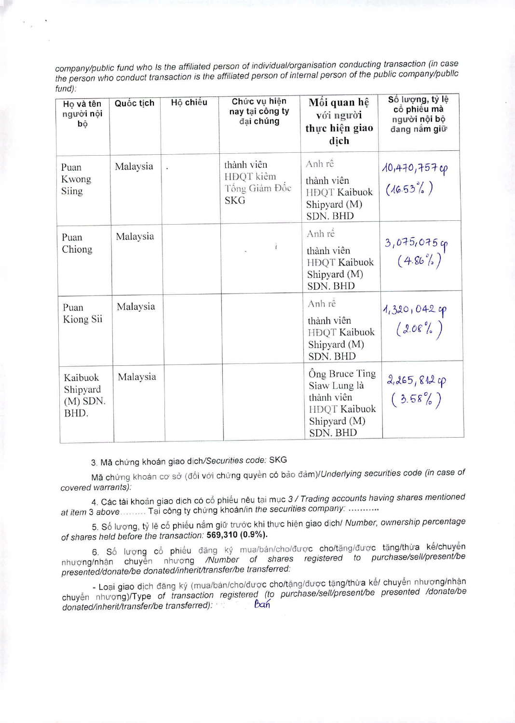company/public fund who Is the affiliated person of individual/organisation conducting transaction (in case the person who conduct transaction is the affiliated person of internal person of the public company/public fund):

| Ho và tên<br>người nội<br>þộ              | Quốc tịch | Hộ chiếu | Chức vụ hiện<br>nay tại công ty<br>đai chúng           | Môi quan hệ<br>vói người<br>thực hiện giao<br>dich                                                     | Số lượng, tỷ lệ<br>cổ phiếu mà<br>người nội bộ<br>đang nắm giữ |
|-------------------------------------------|-----------|----------|--------------------------------------------------------|--------------------------------------------------------------------------------------------------------|----------------------------------------------------------------|
| Puan<br>Kwong<br>Siing                    | Malaysia  |          | thành viên<br>HDQT kiêm<br>Tông Giám Độc<br><b>SKG</b> | Anh rê<br>thành viên<br>HĐQT Kaibuok<br>Shipyard (M)<br><b>SDN. BHD</b>                                | 10,470,757 cp<br>$(16.53\%)$                                   |
| Puan<br>Chiong                            | Malaysia  |          |                                                        | Anh rê<br>thành viên<br>HDQT Kaibuok<br>Shipyard (M)<br>SDN. BHD                                       | $3,075,075$ cp<br>(4.86%)                                      |
| Puan<br>Kiong Sii                         | Malaysia  |          |                                                        | Anh rê<br>thành viên<br>HDQT Kaibuok<br>Shipyard (M)<br><b>SDN. BHD</b>                                | $1,320,042$ ip<br>(2.08 <sup>o</sup> / <sub>0</sub> )          |
| Kaibuok<br>Shipyard<br>$(M)$ SDN.<br>BHD. | Malaysia  |          |                                                        | Ông Bruce Ting<br>Siaw Lung là<br>thành viên<br><b>HDQT Kaibuok</b><br>Shipyard (M)<br><b>SDN. BHD</b> | $2,265,812$ cp<br>$(3.58\%)$                                   |

## 3. Mã chứng khoán giao dịch/Securities code: SKG

Mã chứng khoán cơ sở (đối với chứng quyền có bảo đảm)/Underlying securities code (in case of covered warrants):

4. Các tài khoản giao dịch có cổ phiếu nêu tại mục 3 / Trading accounts having shares mentioned at item 3 above Tai công ty chứng khoán/in the securities company: ..........

5. Số lượng, tỷ lệ cổ phiếu nắm giữ trước khi thực hiện giao dịch/ Number, ownership percentage of shares held before the transaction: **569,310(0.9%).** 

6. Số lượng cổ phiếu đăng ký mua/bán/cho/được cho/tặng/được tặng/thừa kế/chuyển nhượng/nhận chuyển nhượng /Number of shares registered to purchase/sell/present/be presented/donate/be donated/inherit/transfer/be transferred:

- Loại giao dịch đăng ký (mua/bán/cho/được cho/tặng/được tặng/thừa kế/ chuyển nhượng/nhận chuyển nhượng)/Type of transaction registered (to purchase/sell/present/be presented /donate/be<br>donated/inherit/transfer/be\_transferred): <br> $\theta$ an donated/inherit/transfer/be transferred): •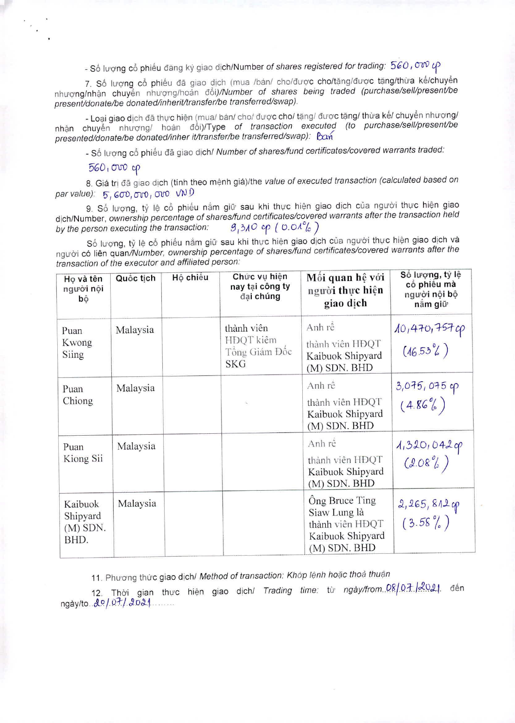- Số lượng cổ phiếu đăng ký giao dịch/Number of shares registered for trading: 560, OW UP

7. Số lượng cổ phiếu đã giao dịch (mua /bán/ cho/được cho/tăng/được tăng/thừa kế/chuyển nhượng/nhận chuyển nhượng/hoán đổi)/Number of shares being traded (purchase/sell/present/be present/donate/be donated/inherit/transfer/be transferred/swap).

- Loại giao dịch đã thực hiện (mua/ bán/ cho/ được cho/ tặng/ được tặng/ thừa kế/ chuyển nhượng/ nhận chuyển nhượng/ hoán đổi)/Type of transaction executed (to purchase/sell/present/be presented/donate/be donated/inher it/transfer/be transferred/swap): Ban

- Số lượng cổ phiếu đã giao dịch/ Number of shares/fund certificates/covered warrants traded:

## $560,000$  cp

8. Giá trị đã giao dịch (tính theo mệnh giá)/the value of executed transaction (calculated based on par value):  $5,600,000,000 \, \text{VV}$ 

9. Số lượng, tỷ lệ cổ phiếu nắm giữ sau khi thực hiện giao dịch của người thực hiện giao dich/Number, ownership percentage of shares/fund certificates/covered warrants after the transaction held by the person executing the transaction:  $9,310,90 (0.01%)$ 

Số lượng, tỷ lệ cỗ phiếu nắm giữ sau khi thực hiện giao dịch của người thực hiện giao dịch và nguòi có liên quan/Number, ownership percentage of shares/fund certificates/covered warrants after the transaction of the executor and affiliated person:

| Ho và tên<br>người nội<br>bộ              | Quốc tịch | Hộ chiếu | Chức vụ hiện<br>nay tại công ty<br>đại chúng           | Môi quan hệ với<br>người thực hiện<br>giao dich                                         | Số lượng, tỷ lệ<br>cổ phiếu mà<br>người nội bộ<br>năm giữ |
|-------------------------------------------|-----------|----------|--------------------------------------------------------|-----------------------------------------------------------------------------------------|-----------------------------------------------------------|
| Puan<br>Kwong<br>Siing                    | Malaysia  |          | thành viên<br>HDQT kiêm<br>Tông Giám Độc<br><b>SKG</b> | Anh rê<br>thành viên HĐQT<br>Kaibuok Shipyard<br>$(M)$ SDN. BHD                         | 10,470,7570<br>$(16.53^{\circ}L)$                         |
| Puan<br>Chiong                            | Malaysia  |          |                                                        | Anh rê<br>thành viên HĐQT<br>Kaibuok Shipyard<br>(M) SDN. BHD                           | 3,075,075 cp<br>(4.86%)                                   |
| Puan<br>Kiong Sii                         | Malaysia  |          |                                                        | Anh rê<br>thành viên HĐQT<br>Kaibuok Shipyard<br>$(M)$ SDN. BHD                         | $4,320,042$ op<br>(2.08%)                                 |
| Kaibuok<br>Shipyard<br>$(M)$ SDN.<br>BHD. | Malaysia  |          |                                                        | Ông Bruce Ting<br>Siaw Lung là<br>thành viên HĐQT<br>Kaibuok Shipyard<br>$(M)$ SDN. BHD | 2,265,8120<br>$(3.58\%)$                                  |

11. Phương thức giao dịch/ Method of transaction: Khớp lệnh hoặc thoả thuận

12. Thời gian thực hiện giao dịch/ Trading time: từ ngày/from. 08/07. 2021 đến ngày/to 20/07/2021